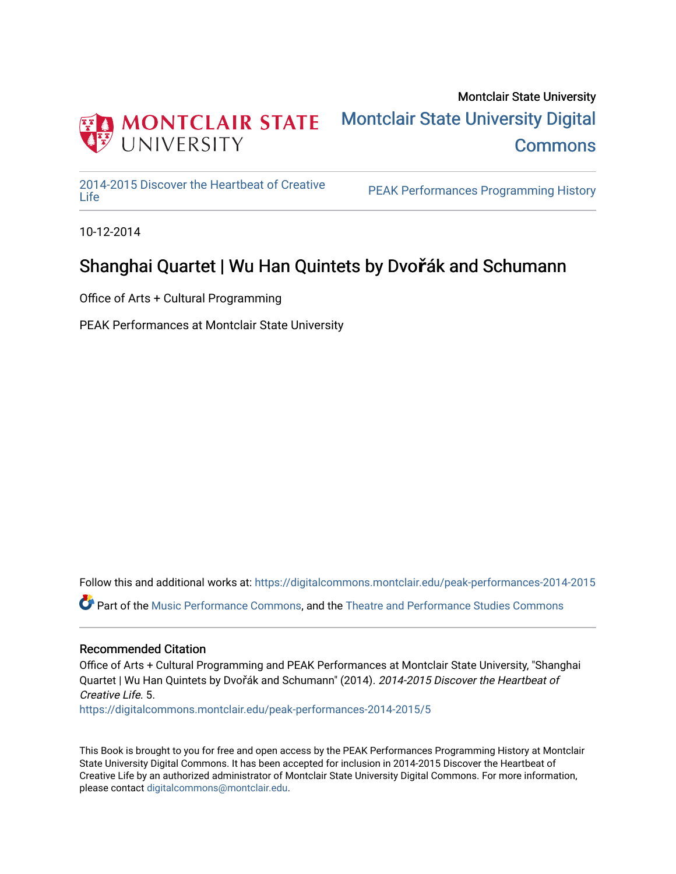

Montclair State University [Montclair State University Digital](https://digitalcommons.montclair.edu/)  **Commons** 

[2014-2015 Discover the Heartbeat of Creative](https://digitalcommons.montclair.edu/peak-performances-2014-2015) 

PEAK Performances Programming History

10-12-2014

### Shanghai Quartet | Wu Han Quintets by Dvořák and Schumann

Office of Arts + Cultural Programming

PEAK Performances at Montclair State University

Follow this and additional works at: [https://digitalcommons.montclair.edu/peak-performances-2014-2015](https://digitalcommons.montclair.edu/peak-performances-2014-2015?utm_source=digitalcommons.montclair.edu%2Fpeak-performances-2014-2015%2F5&utm_medium=PDF&utm_campaign=PDFCoverPages) 

Part of the [Music Performance Commons](http://network.bepress.com/hgg/discipline/1128?utm_source=digitalcommons.montclair.edu%2Fpeak-performances-2014-2015%2F5&utm_medium=PDF&utm_campaign=PDFCoverPages), and the Theatre and Performance Studies Commons

#### Recommended Citation

Office of Arts + Cultural Programming and PEAK Performances at Montclair State University, "Shanghai Quartet | Wu Han Quintets by Dvořák and Schumann" (2014). 2014-2015 Discover the Heartbeat of Creative Life. 5.

[https://digitalcommons.montclair.edu/peak-performances-2014-2015/5](https://digitalcommons.montclair.edu/peak-performances-2014-2015/5?utm_source=digitalcommons.montclair.edu%2Fpeak-performances-2014-2015%2F5&utm_medium=PDF&utm_campaign=PDFCoverPages) 

This Book is brought to you for free and open access by the PEAK Performances Programming History at Montclair State University Digital Commons. It has been accepted for inclusion in 2014-2015 Discover the Heartbeat of Creative Life by an authorized administrator of Montclair State University Digital Commons. For more information, please contact [digitalcommons@montclair.edu.](mailto:digitalcommons@montclair.edu)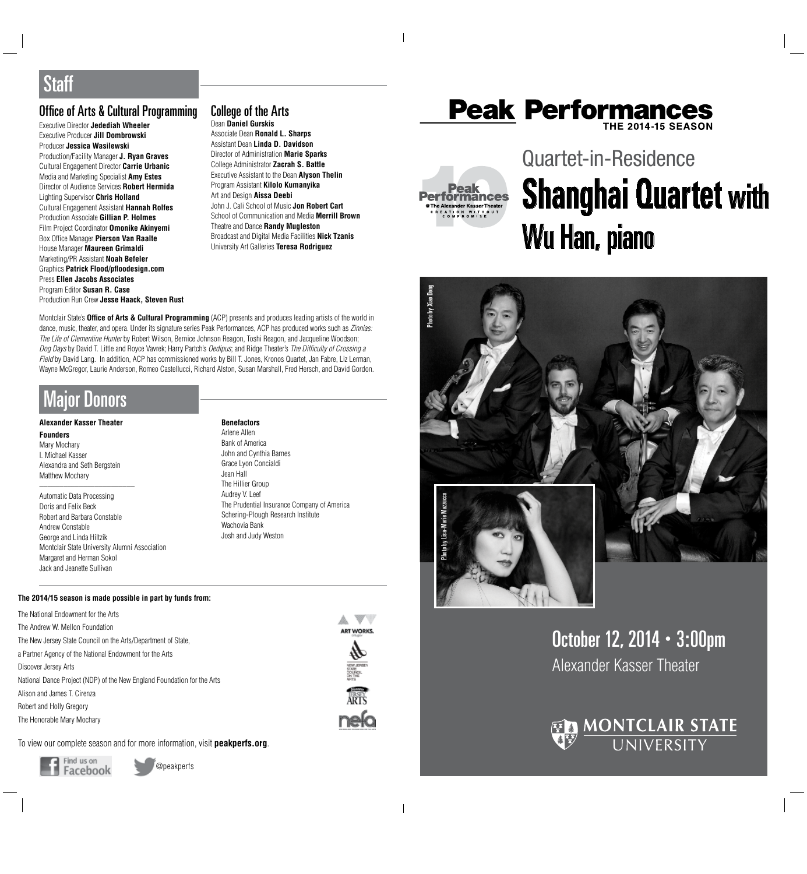### Office of Arts & Cultural Programming

Executive Director **Jedediah Wheeler** Executive Producer **Jill Dombrowski** Producer **Jessica Wasilewski** Production/Facility Manager **J. Ryan Graves** Cultural Engagement Director **Carrie Urbanic** Media and Marketing Specialist **Amy Estes** Director of Audience Services **Robert Hermida** Lighting Supervisor **Chris Holland** Cultural Engagement Assistant **Hannah Rolfes**  Production Associate **Gillian P. Holmes**  Film Project Coordinator **Omonike Akinyemi** Box Office Manager **Pierson Van Raalte** House Manager **Maureen Grimaldi** Marketing/PR Assistant **Noah Befeler** Graphics **Patrick Flood/pfloodesign.com** Press **Ellen Jacobs Associates** Program Editor **Susan R. Case** Production Run Crew **Jesse Haack, Steven Rust**

### College of the Arts

Dean **Daniel Gurskis** Associate Dean **Ronald L. Sharps** Assistant Dean **Linda D. Davidson** Director of Administration **Marie Sparks** College Administrator **Zacrah S. Battle** Executive Assistant to the Dean **Alyson Thelin** Program Assistant **Kilolo Kumanyika** Art and Design **Aissa Deebi** John J. Cali School of Music **Jon Robert Cart** School of Communication and Media **Merrill Brown** Theatre and Dance **Randy Mugleston** Broadcast and Digital Media Facilities **Nick Tzanis** University Art Galleries **Teresa Rodriguez**

Montclair State's **Office of Arts & Cultural Programming** (ACP) presents and produces leading artists of the world in dance, music, theater, and opera. Under its signature series Peak Performances, ACP has produced works such as Zinnias: The Life of Clementine Hunter by Robert Wilson, Bernice Johnson Reagon, Toshi Reagon, and Jacqueline Woodson; Dog Days by David T. Little and Royce Vavrek; Harry Partch's Oedipus; and Ridge Theater's The Difficulty of Crossing a Field by David Lang. In addition, ACP has commissioned works by Bill T. Jones, Kronos Quartet, Jan Fabre, Liz Lerman, Wayne McGregor, Laurie Anderson, Romeo Castellucci, Richard Alston, Susan Marshall, Fred Hersch, and David Gordon.

**Benefactors**

### Major Donors

**Alexander Kasser Theater Founders** Mary Mochary I. Michael Kasser Alexandra and Seth Bergstein Matthew Mochary \_\_\_\_\_\_\_\_\_\_\_\_\_\_\_\_\_\_\_\_\_\_\_\_

Automatic Data Processing Doris and Felix Beck Robert and Barbara Constable Andrew Constable George and Linda Hiltzik Montclair State University Alumni Association Margaret and Herman Sokol Jack and Jeanette Sullivan

#### Arlene Allen Bank of America John and Cynthia Barnes Grace Lyon Concialdi Jean Hall The Hillier Group Audrey V. Leef The Prudential Insurance Company of America Schering-Plough Research Institute Wachovia Bank Josh and Judy Weston

#### **The 2014/15 season is made possible in part by funds from:**

The National Endowment for the Arts The Andrew W. Mellon Foundation The New Jersey State Council on the Arts/Department of State, a Partner Agency of the National Endowment for the Arts Discover Jersey Arts National Dance Project (NDP) of the New England Foundation for the Arts Alison and James T. Cirenza Robert and Holly Gregory The Honorable Mary Mochary



 $\overline{\phantom{a}}$ 

#### To view our complete season and for more information, visit **peakperfs.org**.



@peakperfs

# **Peak Performances**



## **Shanghai Quartet** with Wu Han, piano Quartet-in-Residence



October 12, 2014 · 3:00pm Alexander Kasser Theater



 $\overline{\phantom{a}}$